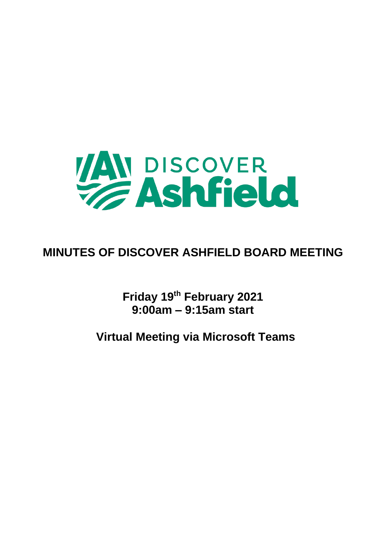

## **MINUTES OF DISCOVER ASHFIELD BOARD MEETING**

**Friday 19th February 2021 9:00am – 9:15am start**

**Virtual Meeting via Microsoft Teams**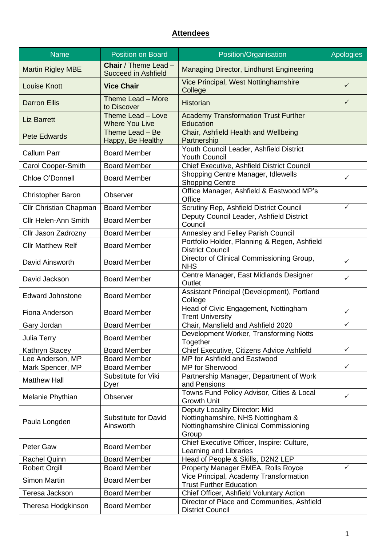## **Attendees**

| <b>Name</b>                   | <b>Position on Board</b>                                  | Position/Organisation                                                                                                 | <b>Apologies</b> |
|-------------------------------|-----------------------------------------------------------|-----------------------------------------------------------------------------------------------------------------------|------------------|
| <b>Martin Rigley MBE</b>      | <b>Chair</b> / Theme Lead -<br><b>Succeed in Ashfield</b> | Managing Director, Lindhurst Engineering                                                                              |                  |
| <b>Louise Knott</b>           | <b>Vice Chair</b>                                         | Vice Principal, West Nottinghamshire<br>College                                                                       | $\checkmark$     |
| <b>Darron Ellis</b>           | Theme Lead - More<br>to Discover                          | <b>Historian</b>                                                                                                      | $\checkmark$     |
| <b>Liz Barrett</b>            | Theme Lead - Love<br><b>Where You Live</b>                | <b>Academy Transformation Trust Further</b><br>Education                                                              |                  |
| <b>Pete Edwards</b>           | Theme Lead - Be<br>Happy, Be Healthy                      | Chair, Ashfield Health and Wellbeing<br>Partnership                                                                   |                  |
| <b>Callum Parr</b>            | <b>Board Member</b>                                       | Youth Council Leader, Ashfield District<br><b>Youth Council</b>                                                       |                  |
| Carol Cooper-Smith            | <b>Board Member</b>                                       | Chief Executive, Ashfield District Council                                                                            |                  |
| Chloe O'Donnell               | <b>Board Member</b>                                       | Shopping Centre Manager, Idlewells<br><b>Shopping Centre</b>                                                          | $\checkmark$     |
| <b>Christopher Baron</b>      | Observer                                                  | Office Manager, Ashfield & Eastwood MP's<br>Office                                                                    |                  |
| <b>Cllr Christian Chapman</b> | <b>Board Member</b>                                       | Scrutiny Rep, Ashfield District Council                                                                               | ✓                |
| <b>Cllr Helen-Ann Smith</b>   | <b>Board Member</b>                                       | Deputy Council Leader, Ashfield District<br>Council                                                                   |                  |
| Cllr Jason Zadrozny           | <b>Board Member</b>                                       | Annesley and Felley Parish Council                                                                                    |                  |
| <b>Cllr Matthew Relf</b>      | <b>Board Member</b>                                       | Portfolio Holder, Planning & Regen, Ashfield<br><b>District Council</b>                                               |                  |
| David Ainsworth               | <b>Board Member</b>                                       | Director of Clinical Commissioning Group,<br><b>NHS</b>                                                               | ✓                |
| David Jackson                 | <b>Board Member</b>                                       | Centre Manager, East Midlands Designer<br>Outlet                                                                      | ✓                |
| <b>Edward Johnstone</b>       | <b>Board Member</b>                                       | Assistant Principal (Development), Portland<br>College                                                                |                  |
| Fiona Anderson                | <b>Board Member</b>                                       | Head of Civic Engagement, Nottingham<br><b>Trent University</b>                                                       | $\checkmark$     |
| Gary Jordan                   | <b>Board Member</b>                                       | Chair, Mansfield and Ashfield 2020                                                                                    | $\checkmark$     |
| Julia Terry                   | <b>Board Member</b>                                       | Development Worker, Transforming Notts<br>Together                                                                    |                  |
| Kathryn Stacey                | <b>Board Member</b>                                       | Chief Executive, Citizens Advice Ashfield                                                                             | ✓                |
| Lee Anderson, MP              | <b>Board Member</b>                                       | MP for Ashfield and Eastwood                                                                                          |                  |
| Mark Spencer, MP              | <b>Board Member</b>                                       | <b>MP</b> for Sherwood                                                                                                | ✓                |
| <b>Matthew Hall</b>           | Substitute for Viki<br>Dyer                               | Partnership Manager, Department of Work<br>and Pensions                                                               |                  |
| Melanie Phythian              | Observer                                                  | Towns Fund Policy Advisor, Cities & Local<br><b>Growth Unit</b>                                                       | ✓                |
| Paula Longden                 | <b>Substitute for David</b><br>Ainsworth                  | Deputy Locality Director: Mid<br>Nottinghamshire, NHS Nottingham &<br>Nottinghamshire Clinical Commissioning<br>Group |                  |
| Peter Gaw                     | <b>Board Member</b>                                       | Chief Executive Officer, Inspire: Culture,<br>Learning and Libraries                                                  |                  |
| <b>Rachel Quinn</b>           | <b>Board Member</b>                                       | Head of People & Skills, D2N2 LEP                                                                                     |                  |
| <b>Robert Orgill</b>          | <b>Board Member</b>                                       | Property Manager EMEA, Rolls Royce                                                                                    | $\checkmark$     |
| <b>Simon Martin</b>           | <b>Board Member</b>                                       | Vice Principal, Academy Transformation<br><b>Trust Further Education</b>                                              |                  |
| Teresa Jackson                | <b>Board Member</b>                                       | Chief Officer, Ashfield Voluntary Action                                                                              |                  |
| Theresa Hodgkinson            | <b>Board Member</b>                                       | Director of Place and Communities, Ashfield<br><b>District Council</b>                                                |                  |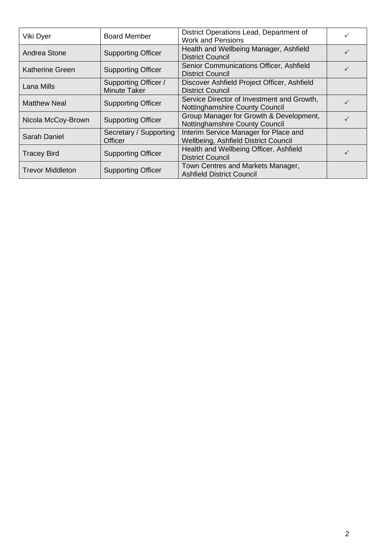| Viki Dyer               | <b>Board Member</b>                  | District Operations Lead, Department of<br><b>Work and Pensions</b>           |   |
|-------------------------|--------------------------------------|-------------------------------------------------------------------------------|---|
| Andrea Stone            | <b>Supporting Officer</b>            | Health and Wellbeing Manager, Ashfield<br><b>District Council</b>             | ✓ |
| <b>Katherine Green</b>  | <b>Supporting Officer</b>            | Senior Communications Officer, Ashfield<br><b>District Council</b>            | ✓ |
| Lana Mills              | Supporting Officer /<br>Minute Taker | Discover Ashfield Project Officer, Ashfield<br>District Council               |   |
| <b>Matthew Neal</b>     | <b>Supporting Officer</b>            | Service Director of Investment and Growth,<br>Nottinghamshire County Council  |   |
| Nicola McCoy-Brown      | <b>Supporting Officer</b>            | Group Manager for Growth & Development,<br>Nottinghamshire County Council     |   |
| Sarah Daniel            | Secretary / Supporting<br>Officer    | Interim Service Manager for Place and<br>Wellbeing, Ashfield District Council |   |
| <b>Tracey Bird</b>      | <b>Supporting Officer</b>            | Health and Wellbeing Officer, Ashfield<br><b>District Council</b>             |   |
| <b>Trevor Middleton</b> | <b>Supporting Officer</b>            | Town Centres and Markets Manager,<br><b>Ashfield District Council</b>         |   |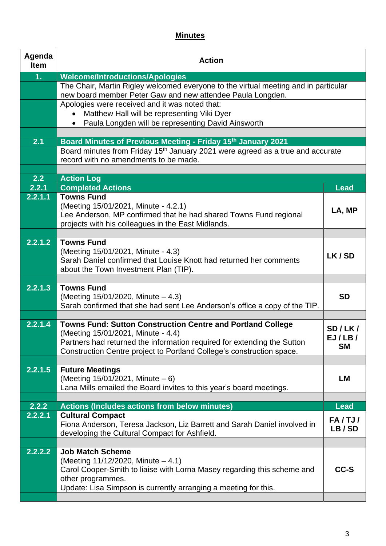## **Minutes**

| Agenda<br><b>Item</b> | <b>Action</b>                                                                                                                                              |             |
|-----------------------|------------------------------------------------------------------------------------------------------------------------------------------------------------|-------------|
| 1 <sub>1</sub>        | <b>Welcome/Introductions/Apologies</b>                                                                                                                     |             |
|                       | The Chair, Martin Rigley welcomed everyone to the virtual meeting and in particular<br>new board member Peter Gaw and new attendee Paula Longden.          |             |
|                       | Apologies were received and it was noted that:                                                                                                             |             |
|                       | Matthew Hall will be representing Viki Dyer                                                                                                                |             |
|                       | Paula Longden will be representing David Ainsworth                                                                                                         |             |
| 2.1                   |                                                                                                                                                            |             |
|                       | Board Minutes of Previous Meeting - Friday 15th January 2021<br>Board minutes from Friday 15 <sup>th</sup> January 2021 were agreed as a true and accurate |             |
|                       | record with no amendments to be made.                                                                                                                      |             |
|                       |                                                                                                                                                            |             |
| 2.2                   | <b>Action Log</b>                                                                                                                                          |             |
| 2.2.1                 | <b>Completed Actions</b>                                                                                                                                   | <b>Lead</b> |
| 2.2.1.1               | <b>Towns Fund</b>                                                                                                                                          |             |
|                       | (Meeting 15/01/2021, Minute - 4.2.1)                                                                                                                       | LA, MP      |
|                       | Lee Anderson, MP confirmed that he had shared Towns Fund regional<br>projects with his colleagues in the East Midlands.                                    |             |
|                       |                                                                                                                                                            |             |
| 2.2.1.2               | <b>Towns Fund</b>                                                                                                                                          |             |
|                       | (Meeting 15/01/2021, Minute - 4.3)                                                                                                                         | LK/SD       |
|                       | Sarah Daniel confirmed that Louise Knott had returned her comments                                                                                         |             |
|                       | about the Town Investment Plan (TIP).                                                                                                                      |             |
| $2.2.1.\overline{3}$  | <b>Towns Fund</b>                                                                                                                                          |             |
|                       | (Meeting 15/01/2020, Minute – 4.3)                                                                                                                         | <b>SD</b>   |
|                       | Sarah confirmed that she had sent Lee Anderson's office a copy of the TIP.                                                                                 |             |
|                       |                                                                                                                                                            |             |
| 2.2.1.4               | Towns Fund: Sutton Construction Centre and Portland College                                                                                                | SD/LK/      |
|                       | (Meeting 15/01/2021, Minute - 4.4)                                                                                                                         | EJ/LB/      |
|                       | Partners had returned the information required for extending the Sutton<br>Construction Centre project to Portland College's construction space.           | <b>SM</b>   |
|                       |                                                                                                                                                            |             |
| 2.2.1.5               | <b>Future Meetings</b>                                                                                                                                     |             |
|                       | (Meeting $15/01/2021$ , Minute $-6$ )                                                                                                                      | <b>LM</b>   |
|                       | Lana Mills emailed the Board invites to this year's board meetings.                                                                                        |             |
|                       |                                                                                                                                                            |             |
| 2.2.2<br>2.2.2.1      | <b>Actions (Includes actions from below minutes)</b><br><b>Cultural Compact</b>                                                                            | <b>Lead</b> |
|                       | Fiona Anderson, Teresa Jackson, Liz Barrett and Sarah Daniel involved in                                                                                   | FA/TJ/      |
|                       | developing the Cultural Compact for Ashfield.                                                                                                              | LB/SD       |
|                       |                                                                                                                                                            |             |
| 2.2.2.2               | <b>Job Match Scheme</b>                                                                                                                                    |             |
|                       | (Meeting 11/12/2020, Minute - 4.1)                                                                                                                         |             |
|                       | Carol Cooper-Smith to liaise with Lorna Masey regarding this scheme and<br>other programmes.                                                               | CC-S        |
|                       | Update: Lisa Simpson is currently arranging a meeting for this.                                                                                            |             |
|                       |                                                                                                                                                            |             |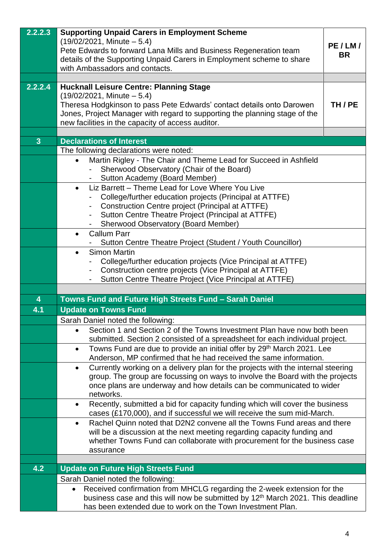| 2.2.2.3        | <b>Supporting Unpaid Carers in Employment Scheme</b><br>$(19/02/2021,$ Minute $-5.4)$<br>Pete Edwards to forward Lana Mills and Business Regeneration team<br>details of the Supporting Unpaid Carers in Employment scheme to share | PE/LM/<br><b>BR</b> |
|----------------|-------------------------------------------------------------------------------------------------------------------------------------------------------------------------------------------------------------------------------------|---------------------|
|                | with Ambassadors and contacts.                                                                                                                                                                                                      |                     |
|                |                                                                                                                                                                                                                                     |                     |
| 2.2.2.4        | <b>Hucknall Leisure Centre: Planning Stage</b><br>$(19/02/2021,$ Minute $-5.4)$                                                                                                                                                     |                     |
|                | Theresa Hodgkinson to pass Pete Edwards' contact details onto Darowen                                                                                                                                                               | TH/PE               |
|                | Jones, Project Manager with regard to supporting the planning stage of the                                                                                                                                                          |                     |
|                | new facilities in the capacity of access auditor.                                                                                                                                                                                   |                     |
|                |                                                                                                                                                                                                                                     |                     |
| 3 <sup>1</sup> | <b>Declarations of Interest</b>                                                                                                                                                                                                     |                     |
|                | The following declarations were noted:                                                                                                                                                                                              |                     |
|                | Martin Rigley - The Chair and Theme Lead for Succeed in Ashfield<br>Sherwood Observatory (Chair of the Board)                                                                                                                       |                     |
|                | Sutton Academy (Board Member)                                                                                                                                                                                                       |                     |
|                | Liz Barrett - Theme Lead for Love Where You Live<br>$\bullet$                                                                                                                                                                       |                     |
|                | College/further education projects (Principal at ATTFE)                                                                                                                                                                             |                     |
|                | Construction Centre project (Principal at ATTFE)                                                                                                                                                                                    |                     |
|                | Sutton Centre Theatre Project (Principal at ATTFE)                                                                                                                                                                                  |                     |
|                | <b>Sherwood Observatory (Board Member)</b><br><b>Callum Parr</b>                                                                                                                                                                    |                     |
|                | Sutton Centre Theatre Project (Student / Youth Councillor)                                                                                                                                                                          |                     |
|                | <b>Simon Martin</b><br>$\bullet$                                                                                                                                                                                                    |                     |
|                | College/further education projects (Vice Principal at ATTFE)                                                                                                                                                                        |                     |
|                | Construction centre projects (Vice Principal at ATTFE)                                                                                                                                                                              |                     |
|                | Sutton Centre Theatre Project (Vice Principal at ATTFE)                                                                                                                                                                             |                     |
|                |                                                                                                                                                                                                                                     |                     |
| 4              | Towns Fund and Future High Streets Fund - Sarah Daniel                                                                                                                                                                              |                     |
| 4.1            | <b>Update on Towns Fund</b>                                                                                                                                                                                                         |                     |
|                | Sarah Daniel noted the following:<br>Section 1 and Section 2 of the Towns Investment Plan have now both been                                                                                                                        |                     |
|                | submitted. Section 2 consisted of a spreadsheet for each individual project.                                                                                                                                                        |                     |
|                | Towns Fund are due to provide an initial offer by 29 <sup>th</sup> March 2021. Lee<br>$\bullet$                                                                                                                                     |                     |
|                | Anderson, MP confirmed that he had received the same information.                                                                                                                                                                   |                     |
|                | Currently working on a delivery plan for the projects with the internal steering<br>$\bullet$                                                                                                                                       |                     |
|                | group. The group are focussing on ways to involve the Board with the projects                                                                                                                                                       |                     |
|                | once plans are underway and how details can be communicated to wider<br>networks.                                                                                                                                                   |                     |
|                | Recently, submitted a bid for capacity funding which will cover the business<br>$\bullet$                                                                                                                                           |                     |
|                | cases (£170,000), and if successful we will receive the sum mid-March.                                                                                                                                                              |                     |
|                | Rachel Quinn noted that D2N2 convene all the Towns Fund areas and there<br>$\bullet$                                                                                                                                                |                     |
|                | will be a discussion at the next meeting regarding capacity funding and                                                                                                                                                             |                     |
|                | whether Towns Fund can collaborate with procurement for the business case                                                                                                                                                           |                     |
|                | assurance                                                                                                                                                                                                                           |                     |
| 4.2            | <b>Update on Future High Streets Fund</b>                                                                                                                                                                                           |                     |
|                | Sarah Daniel noted the following:                                                                                                                                                                                                   |                     |
|                | Received confirmation from MHCLG regarding the 2-week extension for the<br>$\bullet$                                                                                                                                                |                     |
|                | business case and this will now be submitted by 12 <sup>th</sup> March 2021. This deadline                                                                                                                                          |                     |
|                | has been extended due to work on the Town Investment Plan.                                                                                                                                                                          |                     |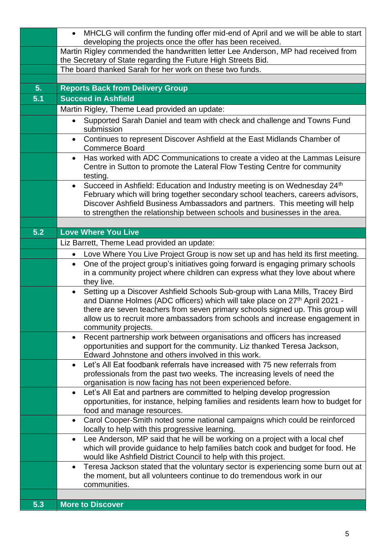|     | MHCLG will confirm the funding offer mid-end of April and we will be able to start<br>$\bullet$                                                                                             |
|-----|---------------------------------------------------------------------------------------------------------------------------------------------------------------------------------------------|
|     | developing the projects once the offer has been received.<br>Martin Rigley commended the handwritten letter Lee Anderson, MP had received from                                              |
|     | the Secretary of State regarding the Future High Streets Bid.                                                                                                                               |
|     | The board thanked Sarah for her work on these two funds.                                                                                                                                    |
|     |                                                                                                                                                                                             |
| 5.  | <b>Reports Back from Delivery Group</b>                                                                                                                                                     |
| 5.1 | <b>Succeed in Ashfield</b>                                                                                                                                                                  |
|     | Martin Rigley, Theme Lead provided an update:                                                                                                                                               |
|     | Supported Sarah Daniel and team with check and challenge and Towns Fund<br>$\bullet$<br>submission                                                                                          |
|     | Continues to represent Discover Ashfield at the East Midlands Chamber of<br>$\bullet$<br><b>Commerce Board</b>                                                                              |
|     | Has worked with ADC Communications to create a video at the Lammas Leisure<br>$\bullet$                                                                                                     |
|     | Centre in Sutton to promote the Lateral Flow Testing Centre for community<br>testing.                                                                                                       |
|     | Succeed in Ashfield: Education and Industry meeting is on Wednesday 24 <sup>th</sup><br>$\bullet$                                                                                           |
|     | February which will bring together secondary school teachers, careers advisors,                                                                                                             |
|     | Discover Ashfield Business Ambassadors and partners. This meeting will help                                                                                                                 |
|     | to strengthen the relationship between schools and businesses in the area.                                                                                                                  |
| 5.2 | <b>Love Where You Live</b>                                                                                                                                                                  |
|     | Liz Barrett, Theme Lead provided an update:                                                                                                                                                 |
|     |                                                                                                                                                                                             |
|     | Love Where You Live Project Group is now set up and has held its first meeting.<br>$\bullet$                                                                                                |
|     | One of the project group's initiatives going forward is engaging primary schools<br>$\bullet$<br>in a community project where children can express what they love about where<br>they live. |
|     | Setting up a Discover Ashfield Schools Sub-group with Lana Mills, Tracey Bird<br>$\bullet$<br>and Dianne Holmes (ADC officers) which will take place on 27 <sup>th</sup> April 2021 -       |
|     | there are seven teachers from seven primary schools signed up. This group will                                                                                                              |
|     | allow us to recruit more ambassadors from schools and increase engagement in                                                                                                                |
|     | community projects.                                                                                                                                                                         |
|     | Recent partnership work between organisations and officers has increased<br>$\bullet$                                                                                                       |
|     | opportunities and support for the community. Liz thanked Teresa Jackson,<br>Edward Johnstone and others involved in this work.                                                              |
|     | Let's All Eat foodbank referrals have increased with 75 new referrals from<br>$\bullet$                                                                                                     |
|     | professionals from the past two weeks. The increasing levels of need the                                                                                                                    |
|     | organisation is now facing has not been experienced before.                                                                                                                                 |
|     | Let's All Eat and partners are committed to helping develop progression<br>$\bullet$                                                                                                        |
|     | opportunities, for instance, helping families and residents learn how to budget for<br>food and manage resources.                                                                           |
|     | Carol Cooper-Smith noted some national campaigns which could be reinforced<br>$\bullet$                                                                                                     |
|     | locally to help with this progressive learning.                                                                                                                                             |
|     | Lee Anderson, MP said that he will be working on a project with a local chef<br>$\bullet$                                                                                                   |
|     | which will provide guidance to help families batch cook and budget for food. He<br>would like Ashfield District Council to help with this project.                                          |
|     | Teresa Jackson stated that the voluntary sector is experiencing some burn out at<br>$\bullet$                                                                                               |
|     | the moment, but all volunteers continue to do tremendous work in our                                                                                                                        |
|     | communities.                                                                                                                                                                                |
|     |                                                                                                                                                                                             |
| 5.3 | <b>More to Discover</b>                                                                                                                                                                     |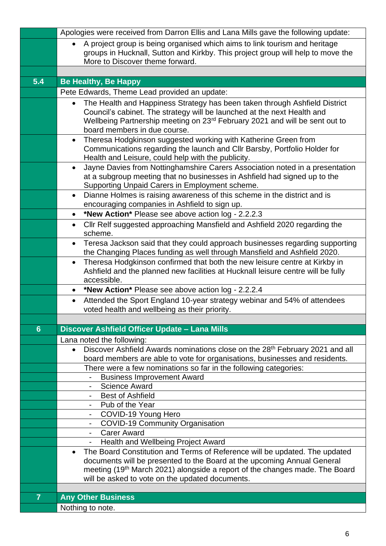|                | Apologies were received from Darron Ellis and Lana Mills gave the following update:                                                                                   |
|----------------|-----------------------------------------------------------------------------------------------------------------------------------------------------------------------|
|                | A project group is being organised which aims to link tourism and heritage<br>$\bullet$                                                                               |
|                | groups in Hucknall, Sutton and Kirkby. This project group will help to move the<br>More to Discover theme forward.                                                    |
|                |                                                                                                                                                                       |
| 5.4            | <b>Be Healthy, Be Happy</b>                                                                                                                                           |
|                | Pete Edwards, Theme Lead provided an update:                                                                                                                          |
|                | The Health and Happiness Strategy has been taken through Ashfield District<br>$\bullet$                                                                               |
|                | Council's cabinet. The strategy will be launched at the next Health and                                                                                               |
|                | Wellbeing Partnership meeting on 23 <sup>rd</sup> February 2021 and will be sent out to                                                                               |
|                | board members in due course.                                                                                                                                          |
|                | Theresa Hodgkinson suggested working with Katherine Green from<br>$\bullet$                                                                                           |
|                | Communications regarding the launch and Cllr Barsby, Portfolio Holder for                                                                                             |
|                | Health and Leisure, could help with the publicity.<br>Jayne Davies from Nottinghamshire Carers Association noted in a presentation<br>$\bullet$                       |
|                | at a subgroup meeting that no businesses in Ashfield had signed up to the                                                                                             |
|                | Supporting Unpaid Carers in Employment scheme.                                                                                                                        |
|                | Dianne Holmes is raising awareness of this scheme in the district and is<br>$\bullet$                                                                                 |
|                | encouraging companies in Ashfield to sign up.                                                                                                                         |
|                | *New Action* Please see above action log - 2.2.2.3<br>$\bullet$                                                                                                       |
|                | Cllr Relf suggested approaching Mansfield and Ashfield 2020 regarding the<br>$\bullet$                                                                                |
|                | scheme.                                                                                                                                                               |
|                | Teresa Jackson said that they could approach businesses regarding supporting<br>$\bullet$<br>the Changing Places funding as well through Mansfield and Ashfield 2020. |
|                | Theresa Hodgkinson confirmed that both the new leisure centre at Kirkby in<br>$\bullet$                                                                               |
|                | Ashfield and the planned new facilities at Hucknall leisure centre will be fully                                                                                      |
|                | accessible.                                                                                                                                                           |
|                | *New Action* Please see above action log - 2.2.2.4<br>$\bullet$                                                                                                       |
|                | Attended the Sport England 10-year strategy webinar and 54% of attendees<br>$\bullet$                                                                                 |
|                | voted health and wellbeing as their priority.                                                                                                                         |
| $6\phantom{1}$ | Discover Ashfield Officer Update - Lana Mills                                                                                                                         |
|                |                                                                                                                                                                       |
|                | Lana noted the following:<br>Discover Ashfield Awards nominations close on the 28 <sup>th</sup> February 2021 and all<br>$\bullet$                                    |
|                | board members are able to vote for organisations, businesses and residents.                                                                                           |
|                | There were a few nominations so far in the following categories:                                                                                                      |
|                | <b>Business Improvement Award</b>                                                                                                                                     |
|                | <b>Science Award</b>                                                                                                                                                  |
|                | <b>Best of Ashfield</b><br>Pub of the Year                                                                                                                            |
|                | $\blacksquare$<br>COVID-19 Young Hero                                                                                                                                 |
|                | <b>COVID-19 Community Organisation</b>                                                                                                                                |
|                | - Carer Award                                                                                                                                                         |
|                | Health and Wellbeing Project Award                                                                                                                                    |
|                | The Board Constitution and Terms of Reference will be updated. The updated<br>$\bullet$                                                                               |
|                | documents will be presented to the Board at the upcoming Annual General                                                                                               |
|                | meeting (19 <sup>th</sup> March 2021) alongside a report of the changes made. The Board<br>will be asked to vote on the updated documents.                            |
|                |                                                                                                                                                                       |
| $\overline{7}$ | <b>Any Other Business</b>                                                                                                                                             |
|                | Nothing to note.                                                                                                                                                      |